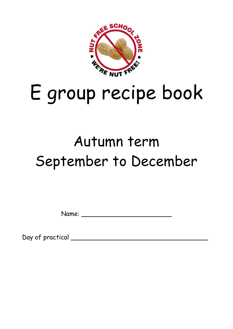

# E group recipe book

# Autumn term September to December

Name: \_\_\_\_\_\_\_\_\_\_\_\_\_\_\_\_\_\_\_\_\_\_\_

Day of practical \_\_\_\_\_\_\_\_\_\_\_\_\_\_\_\_\_\_\_\_\_\_\_\_\_\_\_\_\_\_\_\_\_\_\_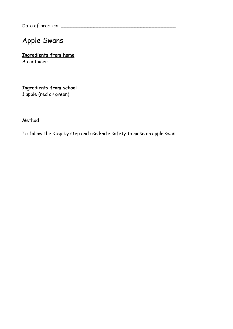Date of practical \_\_\_\_\_\_\_\_\_\_\_\_\_\_\_\_\_\_\_\_\_\_\_\_\_\_\_\_\_\_\_\_\_\_\_\_\_\_\_

# Apple Swans

#### **Ingredients from home** A container

# **Ingredients from school**

1 apple (red or green)

# **Method**

To follow the step by step and use knife safety to make an apple swan.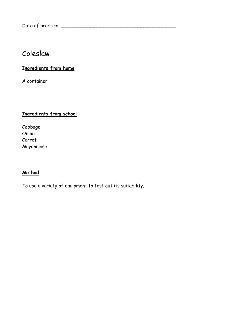# Coleslaw

# I**ngredients from home**

A container

# **Ingredients from school**

Cabbage Onion Carrot Mayonniase

#### **Method**

To use a variety of equipment to test out its suitability.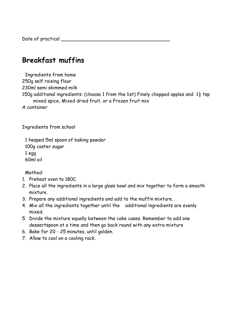Date of practical \_\_\_\_\_\_\_\_\_\_\_\_\_\_\_\_\_\_\_\_\_\_\_\_\_\_\_\_\_\_\_\_\_\_\_\_\_

# **Breakfast muffins**

Ingredients from home 250g self raising flour 230ml semi skimmed milk 150g additional ingredients: (choose 1 from the list) Finely chopped apples and  $1\frac{1}{2}$  tsp mixed spice, Mixed dried fruit, or a Frozen fruit mix A container

Ingredients from school

1 heaped 5ml spoon of baking powder 100g caster sugar 1 egg 60ml oil

Method:

- 1. Preheat oven to 180C.
- 2. Place all the ingredients in a large glass bowl and mix together to form a smooth mixture.
- 3. Prepare any additional ingredients and add to the muffin mixture.
- 4. Mix all the ingredients together until the additional ingredients are evenly mixed.
- 5. Divide the mixture equally between the cake cases. Remember to add one dessertspoon at a time and then go back round with any extra mixture
- 6. Bake for 20 25 minutes, until golden.
- 7. Allow to cool on a cooling rack.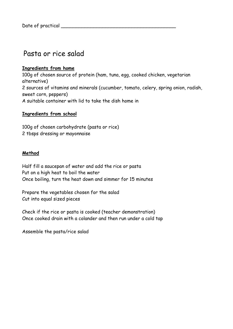# Pasta or rice salad

### **Ingredients from home**

100g of chosen source of protein (ham, tuna, egg, cooked chicken, vegetarian alternative) 2 sources of vitamins and minerals (cucumber, tomato, celery, spring onion, radish, sweet corn, peppers) A suitable container with lid to take the dish home in

#### **Ingredients from school**

100g of chosen carbohydrate (pasta or rice) 2 tbsps dressing or mayonnaise

#### **Method**

Half fill a saucepan of water and add the rice or pasta Put on a high heat to boil the water Once boiling, turn the heat down and simmer for 15 minutes

Prepare the vegetables chosen for the salad Cut into equal sized pieces

Check if the rice or pasta is cooked (teacher demonstration) Once cooked drain with a colander and then run under a cold tap

Assemble the pasta/rice salad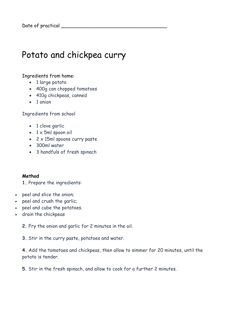# Potato and chickpea curry

#### Ingredients from home:

- 1 large potato
- 400g can chopped tomatoes
- 410g chickpeas, canned
- 1 onion

Ingredients from school

- 1 clove garlic
- 1 x 5ml spoon oil
- 2 x 15ml spoons curry paste
- 300ml water
- 3 handfuls of fresh spinach

#### **Method**

**1.** Prepare the ingredients:

- peel and slice the onion;
- peel and crush the garlic;
- peel and cube the potatoes.
- drain the chickpeas

**2.** Fry the onion and garlic for 2 minutes in the oil.

**3.** Stir in the curry paste, potatoes and water.

**4.** Add the tomatoes and chickpeas, then allow to simmer for 20 minutes, until the potato is tender.

**5.** Stir in the fresh spinach, and allow to cook for a further 2 minutes.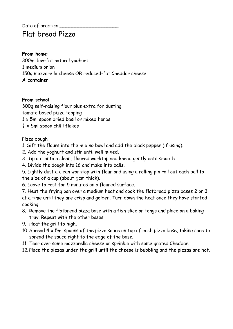# Date of practical Flat bread Pizza

**From home:** 300ml low-fat natural yoghurt 1 medium onion 150g mozzarella cheese OR reduced-fat Cheddar cheese **A container**

#### **From school**

300g self-raising flour plus extra for dusting tomato based pizza topping 1 x 5ml spoon dried basil or mixed herbs  $\frac{1}{2}$  x 5ml spoon chilli flakes

Pizza dough

- 1. Sift the flours into the mixing bowl and add the black pepper (if using).
- 2. Add the yoghurt and stir until well mixed.
- 3. Tip out onto a clean, floured worktop and knead gently until smooth.
- 4. Divide the dough into 16 and make into balls.

5. Lightly dust a clean worktop with flour and using a rolling pin roll out each ball to the size of a cup (about  $\frac{1}{2}$ cm thick).

6. Leave to rest for 5 minutes on a floured surface.

7. Heat the frying pan over a medium heat and cook the flatbread pizza bases 2 or 3 at a time until they are crisp and golden. Turn down the heat once they have started cooking.

- 8. Remove the flatbread pizza base with a fish slice or tongs and place on a baking tray. Repeat with the other bases.
- 9. Heat the grill to high.
- 10. Spread 4 x 5ml spoons of the pizza sauce on top of each pizza base, taking care to spread the sauce right to the edge of the base.
- 11. Tear over some mozzarella cheese or sprinkle with some grated Cheddar.
- 12. Place the pizzas under the grill until the cheese is bubbling and the pizzas are hot.